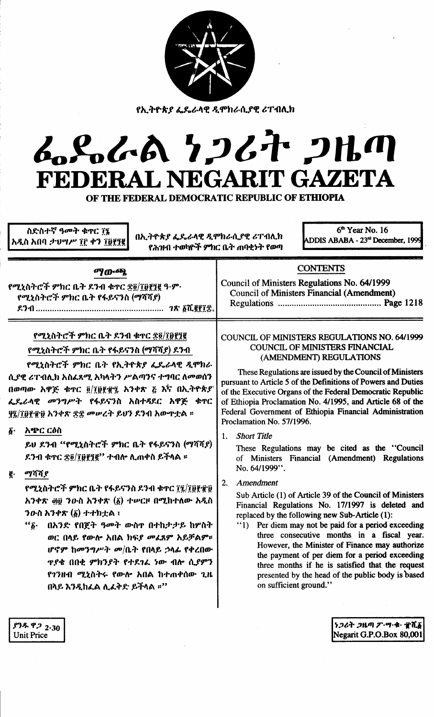| <u>የኢትዮጵያ ፌዴራላዊ ዲሞክራሲያዊ ሪፐብሊክ</u><br>ムパんの 7267 2HM<br>FEDERAL NEGARIT GAZETA<br>OF THE FEDERAL DEMOCRATIC REPUBLIC OF ETHIOPIA<br>6 <sup>th</sup> Year No. 16<br>ስድስተኛ ዓመት ቁዋር ፲፯<br>በኢትዮጵያ ፌዴራላዊ ዲሞክራሲያዊ ሪፐብሊክ<br>ADDIS ABABA - 23rd December, 1999<br>አዲስ አበባ ታህሣሥ ፲፫ ቀን ፲፱፻፺፪<br>የሕዝብ ተወካዮች ምክር ቤት ጠባቂነት የወጣ                                                                                                                                                                                                                                                                                                                                                                                                                                  |                                                                                                                                                                                                                                                                                                                                                                                                                                                                                                                                                                                                                                                                                                                                                                                                                                                                                                                                                                                                                                                                                                                                                      |
|--------------------------------------------------------------------------------------------------------------------------------------------------------------------------------------------------------------------------------------------------------------------------------------------------------------------------------------------------------------------------------------------------------------------------------------------------------------------------------------------------------------------------------------------------------------------------------------------------------------------------------------------------------------------------------------------------------------------------------------------------|------------------------------------------------------------------------------------------------------------------------------------------------------------------------------------------------------------------------------------------------------------------------------------------------------------------------------------------------------------------------------------------------------------------------------------------------------------------------------------------------------------------------------------------------------------------------------------------------------------------------------------------------------------------------------------------------------------------------------------------------------------------------------------------------------------------------------------------------------------------------------------------------------------------------------------------------------------------------------------------------------------------------------------------------------------------------------------------------------------------------------------------------------|
| <b>ማውጫ</b><br>የሚኒስትሮች ምክር ቤት ደንብ ቁጥር ፳፬/፲፱፻፺፪ ዓ·ም·<br>የሚኒስትሮች ምክር ቤት የፋይናንስ (ማሻሻያ)                                                                                                                                                                                                                                                                                                                                                                                                                                                                                                                                                                                                                                                               | <b>CONTENTS</b><br>Council of Ministers Regulations No. 64/1999<br>Council of Ministers Financial (Amendment)                                                                                                                                                                                                                                                                                                                                                                                                                                                                                                                                                                                                                                                                                                                                                                                                                                                                                                                                                                                                                                        |
| የሚኒስትሮች ምክር ቤት ደንብ ቁጥር ፳፬/፲፱፻፺፪<br>የሚኒስትሮች ምክር ቤት የፋይናንስ (ማሻሻያ) ደንብ<br>የሚኒስትሮች ምክር ቤት የኢትዮጵያ ፌዴራላዊ ዲሞክራ<br>ሲያዊ ሪፐብሊክ አስፌጻሚ አካላትን ሥልጣንና ተግባር ለመወሰን<br>በወጣው አዋጅ ቁዋር ፬/፲፱፻፹፯ አንቀጽ ፭ እና በኢትዮጵያ<br>ፌዴራላዊ መንግሥት የፋይናንስ አስተዳደር አዋጅ ቁዋር<br>ያ፯/፲፱፻፹፱ አንቀጽ ፳፰ መሠረት ይህን ደንብ አውጥቷል ፡፡<br>አጭር ርዕስ<br>$\boldsymbol{\delta}$ .<br>ይህ ደንብ "የሚኒስትሮች ምክር ቤት የፋይናንስ (ማሻሻያ)<br>ደንብ ቁዋር ፳፬/፲፱፻፺፪'' ተብሎ ሊጠቀስ ይችላል ፡፡<br>ማሻሻያ<br>ğ.<br>የሚኒስትሮች ምክር ቤት የፋይናንስ ደንብ ቁጥር ፲፯/፲፱፻፹፱<br>አንቀጽ ፴፱ ንውስ አንቀጽ (፩) ተሥርዞ በሚከተለው አዲስ<br>ንውስ አንቀጽ (፩) ተተክቷል ፣<br>በአንድ የበጀት ዓመት ውስዋ በተከታታይ ከሦስት<br>$``\delta$ .<br>ወር በላይ የውሎ አበል ክፍያ መፈጸም አይቻልም።<br>ሆኖም ከመንግሥት መ/ቤት የበላይ ኃላፊ የቀረበው<br><b>ዋያቄ በበቂ ምክንያት የተደገፈ ነው ብሎ ሲያምን</b><br>የገንዘብ ሚኒስትሩ የውሎ አበል ከተጠቀሰው ጊዜ<br>በላይ እንዲከፈል ሊፈቅድ ይችላል ።" | COUNCIL OF MINISTERS REGULATIONS NO. 64/1999<br><b>COUNCIL OF MINISTERS FINANCIAL</b><br>(AMENDMENT) REGULATIONS<br>These Regulations are issued by the Council of Ministers<br>pursuant to Article 5 of the Definitions of Powers and Duties<br>of the Executive Organs of the Federal Democratic Republic<br>of Ethiopia Proclamation No. 4/1995, and Article 68 of the<br>Federal Government of Ethiopia Financial Administration<br>Proclamation No. 57/1996.<br><b>Short Title</b><br>1.<br>These Regulations may be cited as the "Council<br>of Ministers Financial (Amendment) Regulations<br>No. 64/1999".<br>Amendment<br>2.<br>Sub Article (1) of Article 39 of the Council of Ministers<br>Financial Regulations No. 17/1997 is deleted and<br>replaced by the following new Sub-Article (1):<br>"1) Per diem may not be paid for a period exceeding<br>three consecutive months in a fiscal year.<br>However, the Minister of Finance may authorize<br>the payment of per diem for a period exceeding<br>three months if he is satisfied that the request<br>presented by the head of the public body is based<br>on sufficient ground." |

ነጋሪት ጋዜጣ ፖ·ሣ·ቁ· ፹ሺ፩<br>Negarit G.P.O.Box 80,001

 $\frac{62}{5}$ <br>Unit Price

 $\bar{\beta}$ 

 $\bar{\bar{z}}$